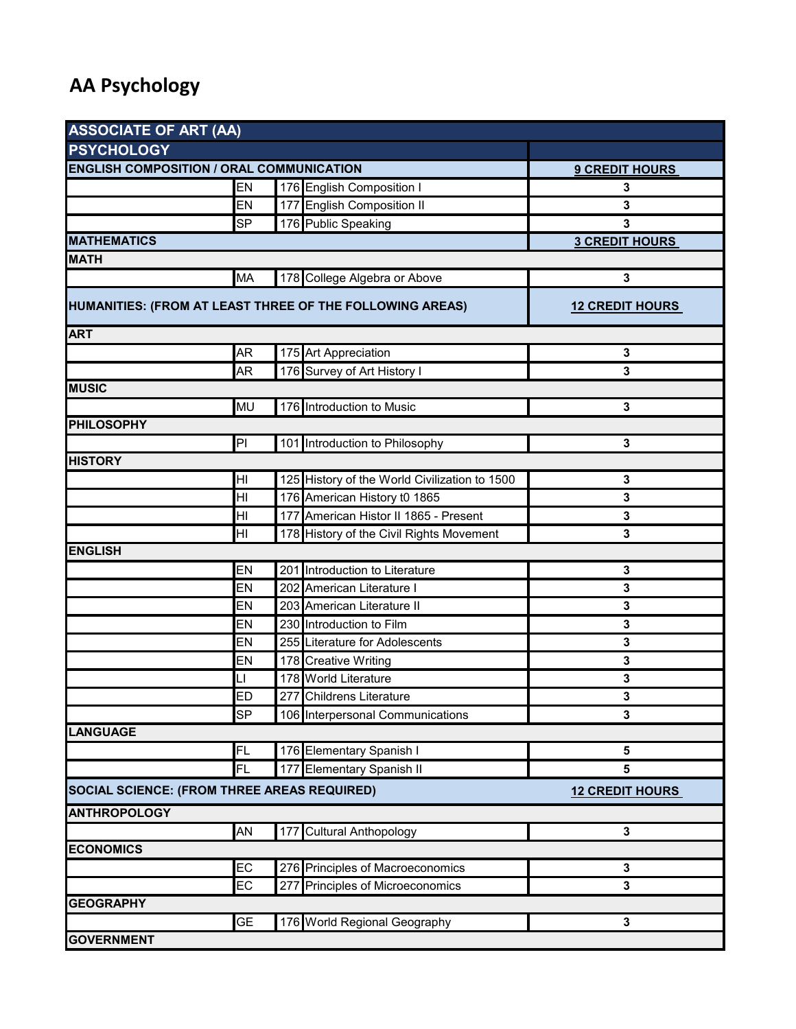## **AA Psychology**

| <b>ASSOCIATE OF ART (AA)</b>                                                                        |                        |  |                                               |             |  |  |
|-----------------------------------------------------------------------------------------------------|------------------------|--|-----------------------------------------------|-------------|--|--|
| <b>PSYCHOLOGY</b>                                                                                   |                        |  |                                               |             |  |  |
| <b>ENGLISH COMPOSITION / ORAL COMMUNICATION</b>                                                     | <b>9 CREDIT HOURS</b>  |  |                                               |             |  |  |
|                                                                                                     | EN                     |  | 176 English Composition I                     | 3           |  |  |
|                                                                                                     | EN                     |  | 177 English Composition II                    | 3           |  |  |
|                                                                                                     | <b>SP</b>              |  | 176 Public Speaking                           | 3           |  |  |
| <b>MATHEMATICS</b>                                                                                  | <b>3 CREDIT HOURS</b>  |  |                                               |             |  |  |
| <b>MATH</b>                                                                                         |                        |  |                                               |             |  |  |
|                                                                                                     | MA                     |  | 178 College Algebra or Above                  | 3           |  |  |
| HUMANITIES: (FROM AT LEAST THREE OF THE FOLLOWING AREAS)                                            | <b>12 CREDIT HOURS</b> |  |                                               |             |  |  |
| <b>ART</b>                                                                                          |                        |  |                                               |             |  |  |
|                                                                                                     | AR                     |  | 175 Art Appreciation                          | 3           |  |  |
|                                                                                                     | AR                     |  | 176 Survey of Art History I                   | 3           |  |  |
| <b>MUSIC</b>                                                                                        |                        |  |                                               |             |  |  |
|                                                                                                     | <b>MU</b>              |  | 176 Introduction to Music                     | $\mathbf 3$ |  |  |
| <b>PHILOSOPHY</b>                                                                                   |                        |  |                                               |             |  |  |
|                                                                                                     | PI                     |  | 101 Introduction to Philosophy                | 3           |  |  |
| <b>HISTORY</b>                                                                                      |                        |  |                                               |             |  |  |
|                                                                                                     | HI                     |  | 125 History of the World Civilization to 1500 | 3           |  |  |
|                                                                                                     | HI                     |  | 176 American History t0 1865                  | 3           |  |  |
|                                                                                                     | HI                     |  | 177 American Histor II 1865 - Present         | 3           |  |  |
|                                                                                                     | HI                     |  | 178 History of the Civil Rights Movement      | 3           |  |  |
| <b>ENGLISH</b>                                                                                      |                        |  |                                               |             |  |  |
|                                                                                                     | EN                     |  | 201 Introduction to Literature                | $\mathbf 3$ |  |  |
|                                                                                                     | EN                     |  | 202 American Literature I                     | 3           |  |  |
|                                                                                                     | EN                     |  | 203 American Literature II                    | 3           |  |  |
|                                                                                                     | EN                     |  | 230 Introduction to Film                      | 3           |  |  |
|                                                                                                     | EN                     |  | 255 Literature for Adolescents                | 3           |  |  |
|                                                                                                     | EN                     |  | 178 Creative Writing                          | 3           |  |  |
|                                                                                                     | LI                     |  | 178 World Literature                          | 3           |  |  |
|                                                                                                     | <b>ED</b>              |  | 277 Childrens Literature                      | 3           |  |  |
|                                                                                                     | <b>SP</b>              |  | 106 Interpersonal Communications              | 3           |  |  |
| <b>LANGUAGE</b>                                                                                     |                        |  |                                               |             |  |  |
|                                                                                                     | FL                     |  | 176 Elementary Spanish I                      | 5           |  |  |
|                                                                                                     | FL                     |  | 177 Elementary Spanish II                     | 5           |  |  |
| <b>SOCIAL SCIENCE: (FROM THREE AREAS REQUIRED)</b><br><b>12 CREDIT HOURS</b><br><b>ANTHROPOLOGY</b> |                        |  |                                               |             |  |  |
|                                                                                                     | AN                     |  | 177 Cultural Anthopology                      | 3           |  |  |
| <b>ECONOMICS</b>                                                                                    |                        |  |                                               |             |  |  |
|                                                                                                     | EC                     |  | 276 Principles of Macroeconomics              | 3           |  |  |
|                                                                                                     | EC                     |  | 277 Principles of Microeconomics              | 3           |  |  |
| <b>GEOGRAPHY</b>                                                                                    |                        |  |                                               |             |  |  |
|                                                                                                     | <b>GE</b>              |  | 176 World Regional Geography                  | 3           |  |  |
| <b>GOVERNMENT</b>                                                                                   |                        |  |                                               |             |  |  |